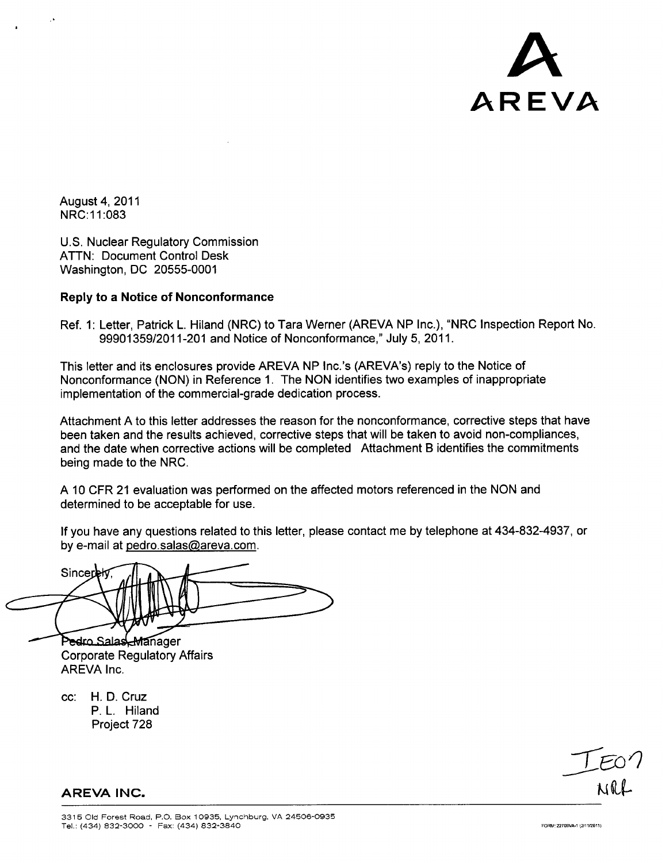

August 4, 2011 NRC:1 1:083

U.S. Nuclear Regulatory Commission ATTN: Document Control Desk Washington, DC 20555-0001

#### Reply to a Notice of Nonconformance

Ref. 1: Letter, Patrick L. Hiland (NRC) to Tara Werner (AREVA NP Inc.), "NRC Inspection Report No. 99901359/2011-201 and Notice of Nonconformance," July 5, 2011.

This letter and its enclosures provide AREVA NP Inc.'s (AREVA's) reply to the Notice of Nonconformance (NON) in Reference 1. The NON identifies two examples of inappropriate implementation of the commercial-grade dedication process.

Attachment A to this letter addresses the reason for the nonconformance, corrective steps that have been taken and the results achieved, corrective steps that will be taken to avoid non-compliances, and the date when corrective actions will be completed Attachment B identifies the commitments being made to the NRC.

A 10 CFR 21 evaluation was performed on the affected motors referenced in the NON and determined to be acceptable for use.

If you have any questions related to this letter, please contact me by telephone at 434-832-4937, or by e-mail at pedro.salas@areva.com.

Sincerek

Pedro Salas Manager Corporate Regulatory Affairs AREVA Inc.

cc: H. D. Cruz P. L. Hiland Project 728

 $T$  $E$ 07

**AREVA INC.**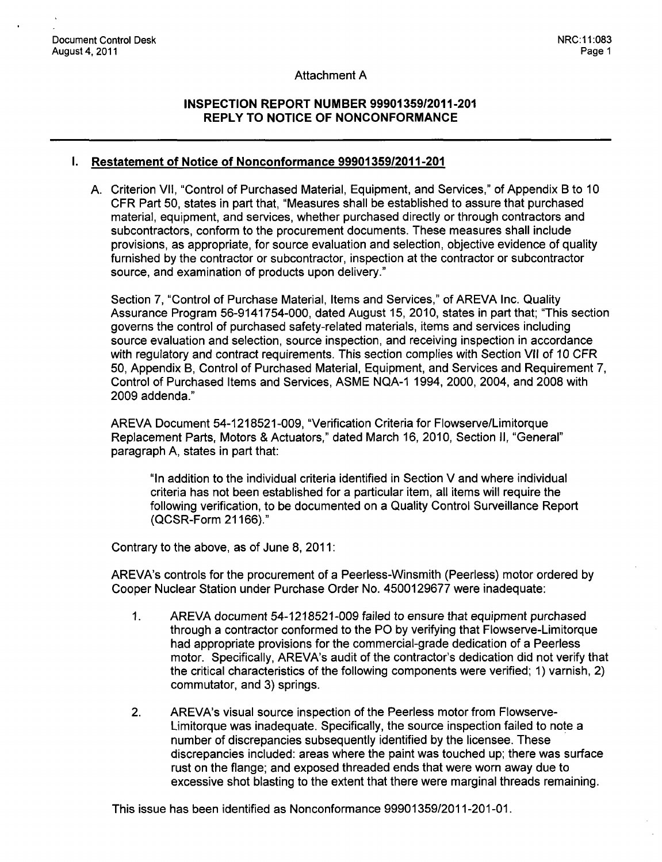#### Attachment A

## **INSPECTION** REPORT **NUMBER 99901359/2011-201** REPLY TO **NOTICE** OF **NONCONFORMANCE**

#### **I.** Restatement of Notice of Nonconformance **99901359/2011-201**

**A.** Criterion VII, "Control of Purchased Material, Equipment, and Services," of Appendix B to **10** CFR Part 50, states in part that, "Measures shall be established to assure that purchased material, equipment, and services, whether purchased directly or through contractors and subcontractors, conform to the procurement documents. These measures shall include provisions, as appropriate, for source evaluation and selection, objective evidence of quality furnished by the contractor or subcontractor, inspection at the contractor or subcontractor source, and examination of products upon delivery."

Section 7, "Control of Purchase Material, Items and Services," of AREVA Inc. Quality Assurance Program 56-9141754-000, dated August 15, 2010, states in part that; "This section governs the control of purchased safety-related materials, items and services including source evaluation and selection, source inspection, and receiving inspection in accordance with regulatory and contract requirements. This section complies with Section VII of 10 CFR 50, Appendix B, Control of Purchased Material, Equipment, and Services and Requirement 7, Control of Purchased Items and Services, ASME NQA-1 1994, 2000, 2004, and 2008 with 2009 addenda."

AREVA Document 54-1218521-009, "Verification Criteria for Flowserve/Limitorque Replacement Parts, Motors & Actuators," dated March 16, 2010, Section II, "General" paragraph A, states in part that:

"In addition to the individual criteria identified in Section V and where individual criteria has not been established for a particular item, all items will require the following verification, to be documented on a Quality Control Surveillance Report (QCSR-Form 21166)."

Contrary to the above, as of June 8, 2011:

AREVA's controls for the procurement of a Peerless-Winsmith (Peerless) motor ordered by Cooper Nuclear Station under Purchase Order No. 4500129677 were inadequate:

- 1. AREVA document 54-1218521-009 failed to ensure that equipment purchased through a contractor conformed to the PO by verifying that Flowserve-Limitorque had appropriate provisions for the commercial-grade dedication of a Peerless motor. Specifically, AREVA's audit of the contractor's dedication did not verify that the critical characteristics of the following components were verified; 1) varnish, 2) commutator, and 3) springs.
- 2. AREVA's visual source inspection of the Peerless motor from Flowserve-Limitorque was inadequate. Specifically, the source inspection failed to note a number of discrepancies subsequently identified by the licensee. These discrepancies included: areas where the paint was touched up; there was surface rust on the flange; and exposed threaded ends that were worn away due to excessive shot blasting to the extent that there were marginal threads remaining.

This issue has been identified as Nonconformance 99901359/2011-201-01.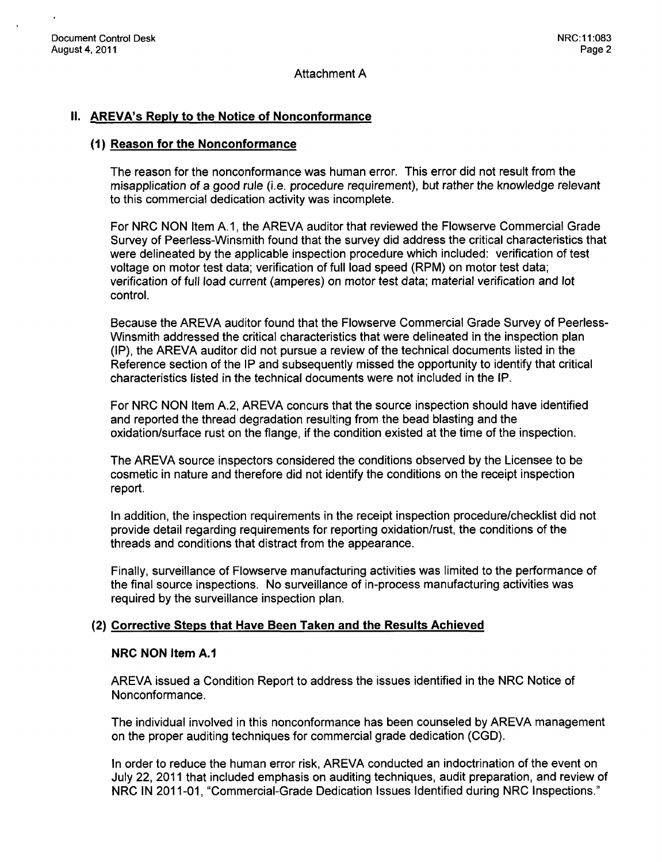Attachment A

## **II.** AREVA's **Reply** to the Notice of Nonconformance

#### **(1)** Reason for the Nonconformance

The reason for the nonconformance was human error. This error did not result from the misapplication of a good rule (i.e. procedure requirement), but rather the knowledge relevant to this commercial dedication activity was incomplete.

For NRC NON Item A.1, the AREVA auditor that reviewed the Flowserve Commercial Grade Survey of Peerless-Winsmith found that the survey did address the critical characteristics that were delineated by the applicable inspection procedure which included: verification of test voltage on motor test data; verification of full load speed (RPM) on motor test data; verification of full load current (amperes) on motor test data; material verification and lot control.

Because the AREVA auditor found that the Flowserve Commercial Grade Survey of Peerless-Winsmith addressed the critical characteristics that were delineated in the inspection plan (IP), the AREVA auditor did not pursue a review of the technical documents listed in the Reference section of the IP and subsequently missed the opportunity to identify that critical characteristics listed in the technical documents were not included in the IP.

For NRC NON Item A.2, AREVA concurs that the source inspection should have identified and reported the thread degradation resulting from the bead blasting and the oxidation/surface rust on the flange, if the condition existed at the time of the inspection.

The AREVA source inspectors considered the conditions observed by the Licensee to be cosmetic in nature and therefore did not identify the conditions on the receipt inspection report.

In addition, the inspection requirements in the receipt inspection procedure/checklist did not provide detail regarding requirements for reporting oxidation/rust, the conditions of the threads and conditions that distract from the appearance.

Finally, surveillance of Flowserve manufacturing activities was limited to the performance of the final source inspections. No surveillance of in-process manufacturing activities was required by the surveillance inspection plan.

#### (2) Corrective Steps that Have Been Taken and the Results Achieved

#### NRC **NON** Item **A.1**

AREVA issued a Condition Report to address the issues identified in the NRC Notice of Nonconformance.

The individual involved in this nonconformance has been counseled by AREVA management on the proper auditing techniques for commercial grade dedication (CGD).

In order to reduce the human error risk, AREVA conducted an indoctrination of the event on July 22, 2011 that included emphasis on auditing techniques, audit preparation, and review of NRC IN 2011-01, "Commercial-Grade Dedication Issues Identified during NRC Inspections."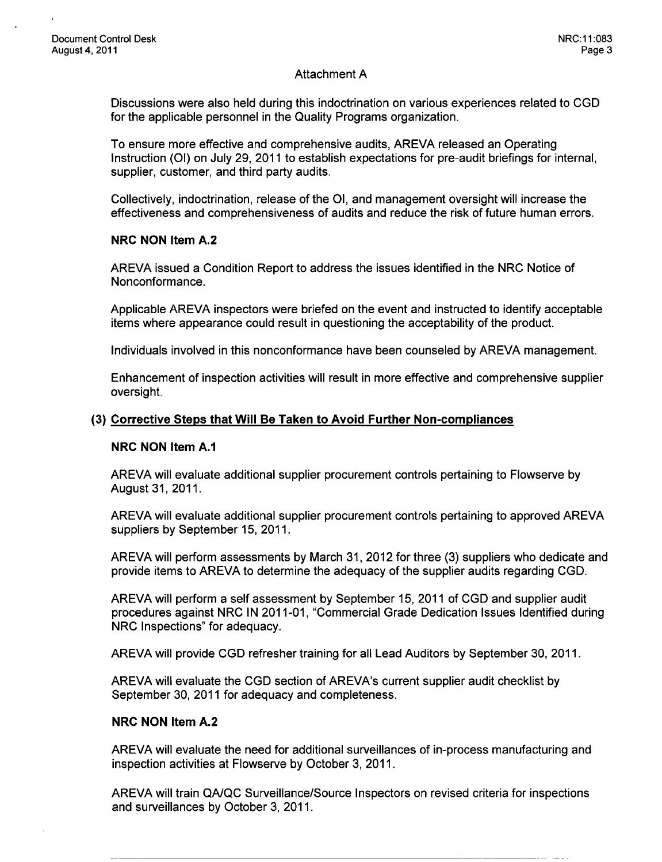## Attachment A

Discussions were also held during this indoctrination on various experiences related to CGD for the applicable personnel in the Quality Programs organization.

To ensure more effective and comprehensive audits, AREVA released an Operating Instruction **(01)** on July 29, 2011 to establish expectations for pre-audit briefings for internal, supplier, customer, and third party audits.

Collectively, indoctrination, release of the **01,** and management oversight will increase the effectiveness and comprehensiveness of audits and reduce the risk of future human errors.

#### NRC **NON** Item **A.2**

AREVA issued a Condition Report to address the issues identified in the NRC Notice of Nonconformance.

Applicable AREVA inspectors were briefed on the event and instructed to identify acceptable items where appearance could result in questioning the acceptability of the product.

Individuals involved in this nonconformance have been counseled by AREVA management.

Enhancement of inspection activities will result in more effective and comprehensive supplier oversight.

#### **(3)** Corrective Steps that Will Be Taken to Avoid Further Non-compliances

#### NRC **NON** Item **A.1**

AREVA will evaluate additional supplier procurement controls pertaining to Flowserve by August 31, 2011.

AREVA will evaluate additional supplier procurement controls pertaining to approved AREVA suppliers by September 15, 2011.

AREVA will perform assessments by March 31, 2012 for three (3) suppliers who dedicate and provide items to AREVA to determine the adequacy of the supplier audits regarding CGD.

AREVA will perform a self assessment by September 15, 2011 of CGD and supplier audit procedures against NRC IN 2011-01, "Commercial Grade Dedication Issues Identified during NRC Inspections" for adequacy.

AREVA will provide CGD refresher training for all Lead Auditors by September 30, 2011.

AREVA will evaluate the CGD section of AREVA's current supplier audit checklist by September 30, 2011 for adequacy and completeness.

#### NRC **NON** Item **A.2**

AREVA will evaluate the need for additional surveillances of in-process manufacturing and inspection activities at Flowserve by October 3, 2011.

AREVA will train QA/QC Surveillance/Source Inspectors on revised criteria for inspections and surveillances by October 3, 2011.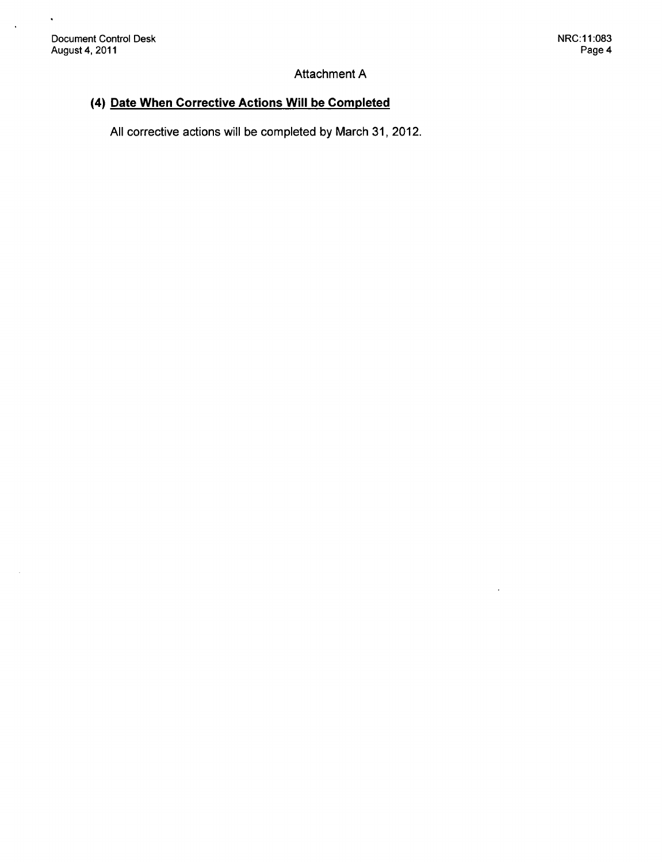$\hat{\mathbf{v}}$ 

 $\bar{z}$ 

# Attachment A

# (4) Date When Corrective Actions Will be Completed

All corrective actions will be completed by March 31, 2012.